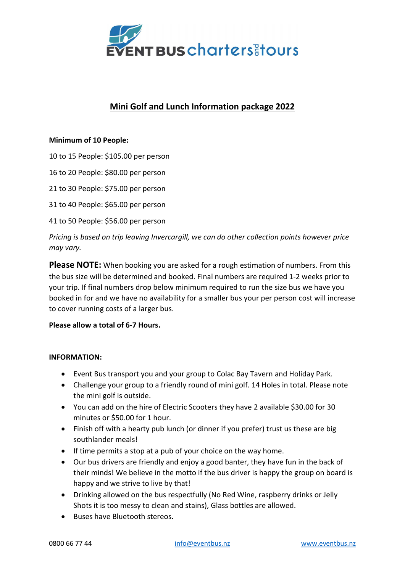

# Mini Golf and Lunch Information package 2022

#### Minimum of 10 People:

10 to 15 People: \$105.00 per person

16 to 20 People: \$80.00 per person

21 to 30 People: \$75.00 per person

31 to 40 People: \$65.00 per person

41 to 50 People: \$56.00 per person

Pricing is based on trip leaving Invercargill, we can do other collection points however price may vary.

Please NOTE: When booking you are asked for a rough estimation of numbers. From this the bus size will be determined and booked. Final numbers are required 1-2 weeks prior to your trip. If final numbers drop below minimum required to run the size bus we have you booked in for and we have no availability for a smaller bus your per person cost will increase to cover running costs of a larger bus.

### Please allow a total of 6-7 Hours.

#### INFORMATION:

- Event Bus transport you and your group to Colac Bay Tavern and Holiday Park.
- Challenge your group to a friendly round of mini golf. 14 Holes in total. Please note the mini golf is outside.
- You can add on the hire of Electric Scooters they have 2 available \$30.00 for 30 minutes or \$50.00 for 1 hour.
- Finish off with a hearty pub lunch (or dinner if you prefer) trust us these are big southlander meals!
- If time permits a stop at a pub of your choice on the way home.
- Our bus drivers are friendly and enjoy a good banter, they have fun in the back of their minds! We believe in the motto if the bus driver is happy the group on board is happy and we strive to live by that!
- Drinking allowed on the bus respectfully (No Red Wine, raspberry drinks or Jelly Shots it is too messy to clean and stains), Glass bottles are allowed.
- Buses have Bluetooth stereos.